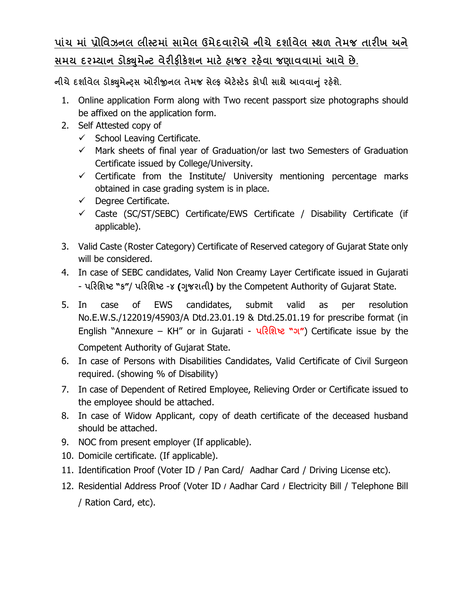## **પાંચ માં ̆ોિવઝનલ લીƨટમાં સામેલ ઉમેદવારોએ નીચે દશા½વેલ ƨથળ તેમજ તારખ અને**  <u>સમય દરમ્યાન ડોક્યુમેન્ટ વેરીફીકેશન માટે હાજર રહેવા જણાવવામાં આવે છે.</u>

**નીચેદશા½વેલ ડોɉુમેƛͫસ ઓરĥનલ તેમજ સેƣફ એટ°ƨટ°ડ કોપી સાથે આવવાȵું રહ°શે.**

- 1. Online application Form along with Two recent passport size photographs should be affixed on the application form.
- 2. Self Attested copy of
	- $\checkmark$  School Leaving Certificate.
	- $\checkmark$  Mark sheets of final year of Graduation/or last two Semesters of Graduation Certificate issued by College/University.
	- $\checkmark$  Certificate from the Institute/ University mentioning percentage marks obtained in case grading system is in place.
	- $\checkmark$  Degree Certificate.
	- $\checkmark$  Caste (SC/ST/SEBC) Certificate/EWS Certificate / Disability Certificate (if applicable).
- 3. Valid Caste (Roster Category) Certificate of Reserved category of Gujarat State only will be considered.
- 4. In case of SEBC candidates, Valid Non Creamy Layer Certificate issued in Gujarati - **પરિશƧટ "ક"**/ **પરિશƧટ** -**૪ (Ȥુજરાતી)** by the Competent Authority of Gujarat State.
- 5. In case of EWS candidates, submit valid as per resolution No.E.W.S./122019/45903/A Dtd.23.01.19 & Dtd.25.01.19 for prescribe format (in English "Annexure – KH" or in Gujarati - **પરિશƧટ "ગ"**) Certificate issue by the Competent Authority of Gujarat State.
- 6. In case of Persons with Disabilities Candidates, Valid Certificate of Civil Surgeon required. (showing % of Disability)
- 7. In case of Dependent of Retired Employee, Relieving Order or Certificate issued to the employee should be attached.
- 8. In case of Widow Applicant, copy of death certificate of the deceased husband should be attached.
- 9. NOC from present employer (If applicable).
- 10. Domicile certificate. (If applicable).
- 11. Identification Proof (Voter ID / Pan Card/ Aadhar Card / Driving License etc).
- 12. Residential Address Proof (Voter ID **/** Aadhar Card **/** Electricity Bill / Telephone Bill / Ration Card, etc).